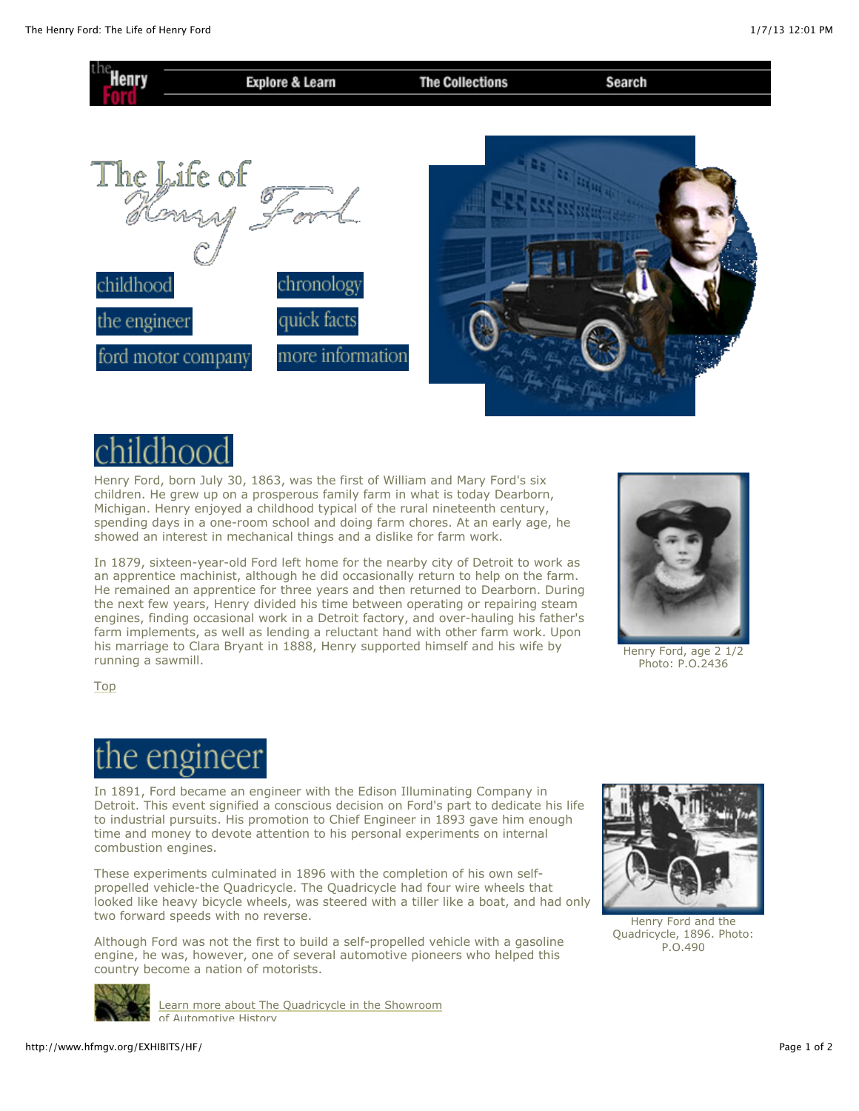



Henry Ford, born July 30, 1863, was the first of William and Mary Ford's six children. He grew up on a prosperous family farm in what is today Dearborn, Michigan. Henry enjoyed a childhood typical of the rural nineteenth century, spending days in a one-room school and doing farm chores. At an early age, he showed an interest in mechanical things and a dislike for farm work.

In 1879, sixteen-year-old Ford left home for the nearby city of Detroit to work as an apprentice machinist, although he did occasionally return to help on the farm. He remained an apprentice for three years and then returned to Dearborn. During the next few years, Henry divided his time between operating or repairing steam engines, finding occasional work in a Detroit factory, and over-hauling his father's farm implements, as well as lending a reluctant hand with other farm work. Upon his marriage to Clara Bryant in 1888, Henry supported himself and his wife by running a sawmill.



[Henry Ford, age 2 1/2](http://www.hfmgv.org/EXHIBITS/HF/younghf.jpg) Photo: P.O.2436

[Top](http://www.hfmgv.org/EXHIBITS/HF/#top)

## the engineer

In 1891, Ford became an engineer with the Edison Illuminating Company in Detroit. This event signified a conscious decision on Ford's part to dedicate his life to industrial pursuits. His promotion to Chief Engineer in 1893 gave him enough time and money to devote attention to his personal experiments on internal combustion engines.

These experiments culminated in 1896 with the completion of his own selfpropelled vehicle-the Quadricycle. The Quadricycle had four wire wheels that looked like heavy bicycle wheels, was steered with a tiller like a boat, and had only two forward speeds with no reverse.

Although Ford was not the first to build a self-propelled vehicle with a gasoline engine, he was, however, one of several automotive pioneers who helped this country become a nation of motorists.

[Learn more about The Quadricycle in the Showroom](http://www.hfmgv.org/EXHIBITS/showroom/1896/quad.html)



[Henry Ford and the](http://www.hfmgv.org/EXHIBITS/HF/quad.jpg) Quadricycle, 1896. Photo: P.O.490



http://www.hfmgv.org/EXHIBITS/HF/ Page 1 of 2

of Automotive History